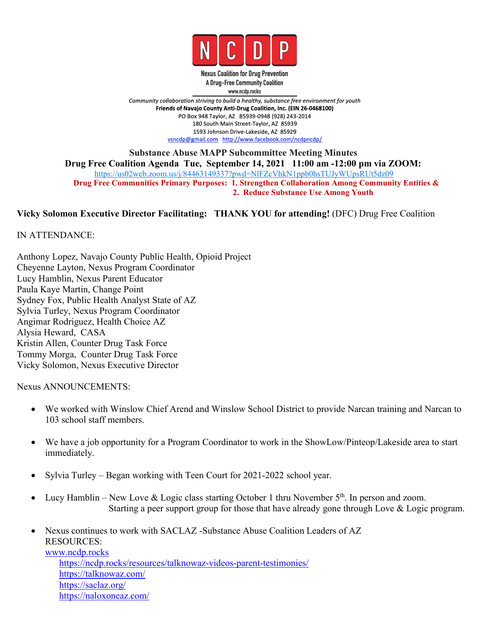

**Nexus Coalition for Drug Prevention** A Drug-Free Community Coalition www.ncdp.rocks

Community collaboration striving to build a healthy, substance free environment for youth Friends of Navajo County Anti-Drug Coalition, Inc. (EIN 26-0468100) PO Box 948 Taylor, AZ 85939-0948 (928) 243-2014 180 South Main Street-Taylor, AZ 85939 1593 Johnson Drive-Lakeside, AZ 85929 vsncdp@gmail.com http://www.facebook.com/ncdpncdp/

**Substance Abuse MAPP Subcommittee Meeting Minutes Drug Free Coalition Agenda Tue, September 14, 2021 11:00 am -12:00 pm via ZOOM:** <https://us02web.zoom.us/j/84463149337?pwd=NlFZcVhkN1ppb0hsTUJyWUpsRUt5dz09> **Drug Free Communities Primary Purposes: 1. Strengthen Collaboration Among Community Entities & 2. Reduce Substance Use Among Youth**

# **Vicky Solomon Executive Director Facilitating: THANK YOU for attending!** (DFC) Drug Free Coalition

IN ATTENDANCE:

Anthony Lopez, Navajo County Public Health, Opioid Project Cheyenne Layton, Nexus Program Coordinator Lucy Hamblin, Nexus Parent Educator Paula Kaye Martin, Change Point Sydney Fox, Public Health Analyst State of AZ Sylvia Turley, Nexus Program Coordinator Angimar Rodriguez, Health Choice AZ Alysia Heward, CASA Kristin Allen, Counter Drug Task Force Tommy Morga, Counter Drug Task Force Vicky Solomon, Nexus Executive Director

Nexus ANNOUNCEMENTS:

- We worked with Winslow Chief Arend and Winslow School District to provide Narcan training and Narcan to 103 school staff members.
- We have a job opportunity for a Program Coordinator to work in the ShowLow/Pinteop/Lakeside area to start immediately.
- Sylvia Turley Began working with Teen Court for 2021-2022 school year.
- Lucy Hamblin New Love & Logic class starting October 1 thru November  $5<sup>th</sup>$ . In person and zoom. Starting a peer support group for those that have already gone through Love & Logic program.
- Nexus continues to work with SACLAZ -Substance Abuse Coalition Leaders of AZ RESOURCES: [www.ncdp.rocks](http://www.ncdp.rocks) <https://ncdp.rocks/resources/talknowaz-videos-parent-testimonies/> [https://talknowaz.com/](https://www.google.com/url?q=https://talknowaz.com/&sa=D&source=calendar&usd=2&usg=AOvVaw3oaiE00kVKA5zY7O6hL5r7)

[https://saclaz.org/](https://www.google.com/url?q=https://saclaz.org/&sa=D&source=calendar&usd=2&usg=AOvVaw2DJgzl5DWUkcQJ3xLlsE15) [https://naloxoneaz.com/](https://www.google.com/url?q=https://naloxoneaz.com/&sa=D&source=calendar&usd=2&usg=AOvVaw29DHHlCYkYtuf9R0VnQi-p)